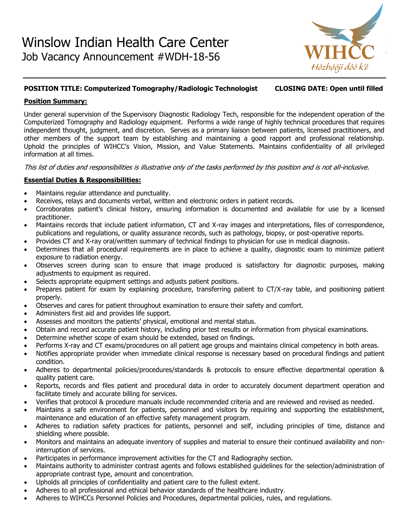

# **POSITION TITLE: Computerized Tomography/Radiologic Technologist CLOSING DATE: Open until filled**

### **Position Summary:**

Under general supervision of the Supervisory Diagnostic Radiology Tech, responsible for the independent operation of the Computerized Tomography and Radiology equipment. Performs a wide range of highly technical procedures that requires independent thought, judgment, and discretion. Serves as a primary liaison between patients, licensed practitioners, and other members of the support team by establishing and maintaining a good rapport and professional relationship. Uphold the principles of WIHCC's Vision, Mission, and Value Statements. Maintains confidentiality of all privileged information at all times.

This list of duties and responsibilities is illustrative only of the tasks performed by this position and is not all-inclusive.

### **Essential Duties & Responsibilities:**

- Maintains regular attendance and punctuality.
- Receives, relays and documents verbal, written and electronic orders in patient records.
- Corroborates patient's clinical history, ensuring information is documented and available for use by a licensed practitioner.
- Maintains records that include patient information, CT and X-ray images and interpretations, files of correspondence, publications and regulations, or quality assurance records, such as pathology, biopsy, or post-operative reports.
- Provides CT and X-ray oral/written summary of technical findings to physician for use in medical diagnosis.
- Determines that all procedural requirements are in place to achieve a quality, diagnostic exam to minimize patient exposure to radiation energy.
- Observes screen during scan to ensure that image produced is satisfactory for diagnostic purposes, making adjustments to equipment as required.
- Selects appropriate equipment settings and adjusts patient positions.
- Prepares patient for exam by explaining procedure, transferring patient to CT/X-ray table, and positioning patient properly.
- Observes and cares for patient throughout examination to ensure their safety and comfort.
- Administers first aid and provides life support.
- Assesses and monitors the patients' physical, emotional and mental status.
- Obtain and record accurate patient history, including prior test results or information from physical examinations.
- Determine whether scope of exam should be extended, based on findings.
- Performs X-ray and CT exams/procedures on all patient age groups and maintains clinical competency in both areas.
- Notifies appropriate provider when immediate clinical response is necessary based on procedural findings and patient condition.
- Adheres to departmental policies/procedures/standards & protocols to ensure effective departmental operation & quality patient care.
- Reports, records and files patient and procedural data in order to accurately document department operation and facilitate timely and accurate billing for services.
- Verifies that protocol & procedure manuals include recommended criteria and are reviewed and revised as needed.
- Maintains a safe environment for patients, personnel and visitors by requiring and supporting the establishment, maintenance and education of an effective safety management program.
- Adheres to radiation safety practices for patients, personnel and self, including principles of time, distance and shielding where possible.
- Monitors and maintains an adequate inventory of supplies and material to ensure their continued availability and noninterruption of services.
- Participates in performance improvement activities for the CT and Radiography section.
- Maintains authority to administer contrast agents and follows established guidelines for the selection/administration of appropriate contrast type, amount and concentration.
- Upholds all principles of confidentiality and patient care to the fullest extent.
- Adheres to all professional and ethical behavior standards of the healthcare industry.
- Adheres to WIHCCs Personnel Policies and Procedures, departmental policies, rules, and regulations.